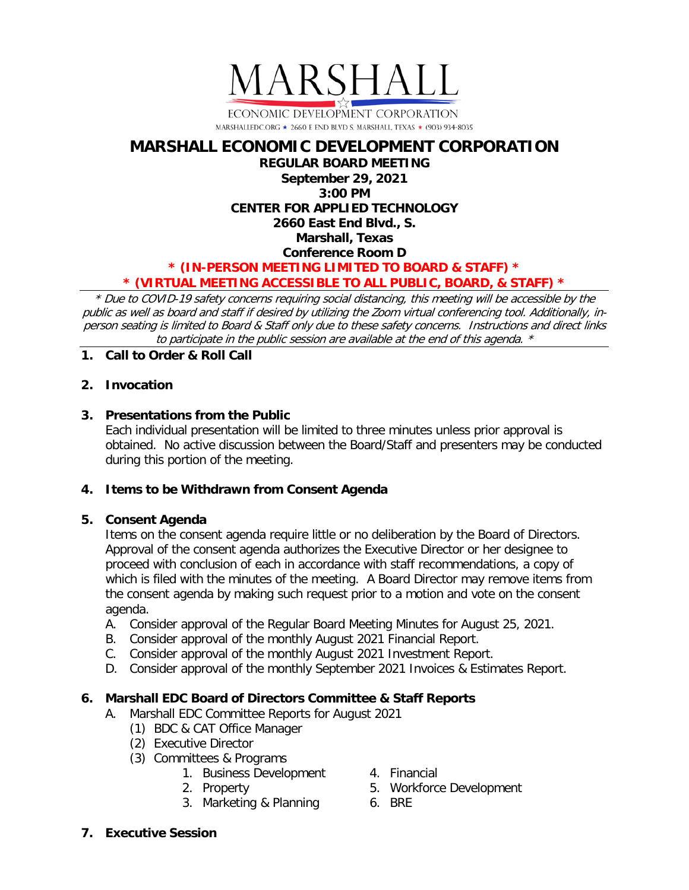

# **MARSHALL ECONOMIC DEVELOPMENT CORPORATION REGULAR BOARD MEETING September 29, 2021 3:00 PM CENTER FOR APPLIED TECHNOLOGY 2660 East End Blvd., S. Marshall, Texas Conference Room D \* (IN-PERSON MEETING LIMITED TO BOARD & STAFF) \* \* (VIRTUAL MEETING ACCESSIBLE TO ALL PUBLIC, BOARD, & STAFF) \***

\* Due to COVID-19 safety concerns requiring social distancing, this meeting will be accessible by the public as well as board and staff if desired by utilizing the Zoom virtual conferencing tool. Additionally, inperson seating is limited to Board & Staff only due to these safety concerns. Instructions and direct links to participate in the public session are available at the end of this agenda. \*

**1. Call to Order & Roll Call**

## **2. Invocation**

## **3. Presentations from the Public**

Each individual presentation will be limited to three minutes unless prior approval is obtained. No active discussion between the Board/Staff and presenters may be conducted during this portion of the meeting.

## **4. Items to be Withdrawn from Consent Agenda**

## **5. Consent Agenda**

Items on the consent agenda require little or no deliberation by the Board of Directors. Approval of the consent agenda authorizes the Executive Director or her designee to proceed with conclusion of each in accordance with staff recommendations, a copy of which is filed with the minutes of the meeting. A Board Director may remove items from the consent agenda by making such request prior to a motion and vote on the consent agenda.

- A. Consider approval of the Regular Board Meeting Minutes for August 25, 2021.
- B. Consider approval of the monthly August 2021 Financial Report.
- C. Consider approval of the monthly August 2021 Investment Report.
- D. Consider approval of the monthly September 2021 Invoices & Estimates Report.

## **6. Marshall EDC Board of Directors Committee & Staff Reports**

- A. Marshall EDC Committee Reports for August 2021
	- (1) BDC & CAT Office Manager
	- (2) Executive Director
	- (3) Committees & Programs
		- 1. Business Development
		- 2. Property
		- 3. Marketing & Planning
- 4. Financial
	- 5. Workforce Development
- 6. BRE

**7. Executive Session**